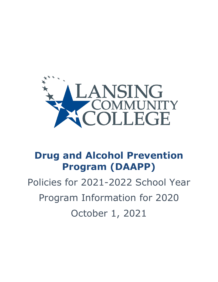

# **Drug and Alcohol Prevention Program (DAAPP)**

# Policies for 2021-2022 School Year

# Program Information for 2020

October 1, 2021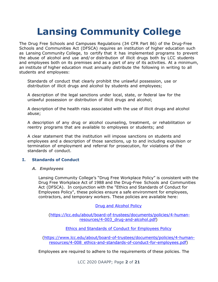# **Lansing Community College**

The Drug Free Schools and Campuses Regulations (34 CFR Part 86) of the Drug-Free Schools and Communities Act (DFSCA) requires an institution of higher education such as Lansing Community College, to certify that it has implemented programs to prevent the abuse of alcohol and use and/ or distribution of illicit drugs both by LCC students and employees both on its premises and as a part of any of its activities. At a minimum, an institute of higher education must annually distribute the following in writing to all students and employees:

Standards of conduct that clearly prohibit the unlawful possession, use or distribution of illicit drugs and alcohol by students and employees;

A description of the legal sanctions under local, state, or federal law for the unlawful possession or distribution of illicit drugs and alcohol;

A description of the health risks associated with the use of illicit drugs and alcohol abuse;

A description of any drug or alcohol counseling, treatment, or rehabilitation or reentry programs that are available to employees or students; and

A clear statement that the institution will impose sanctions on students and employees and a description of those sanctions, up to and including expulsion or termination of employment and referral for prosecution, for violations of the standards of conduct.

#### **I. Standards of Conduct**

#### *A. Employees*

Lansing Community College's "Drug Free Workplace Policy" is consistent with the Drug Free Workplace Act of 1988 and the Drug-Free Schools and Communities Act (DFSCA). In conjunction with the "Ethics and Standards of Conduct for Employees Policy", these policies ensure a safe environment for employees, contractors, and temporary workers. These policies are available here:

[Drug and Alcohol Policy](https://lcc.edu/about/board-of-trustees/documents/policies/4-human-resources/4-003_drug-and-alcohol.pdf)

[\(https://lcc.edu/about/board-of-trustees/documents/policies/4-human](https://lcc.edu/about/board-of-trustees/documents/policies/4-human-resources/4-003_drug-and-alcohol.pdf)[resources/4-003\\_drug-and-alcohol.pdf\)](https://lcc.edu/about/board-of-trustees/documents/policies/4-human-resources/4-003_drug-and-alcohol.pdf)

Ethics and [Standards of Conduct for Employees Policy](https://www.lcc.edu/about/board-of-trustees/documents/policies/4-human-resources/4-008_ethics-and-standards-of-conduct-for-employees.pdf)

[\(https://www.lcc.edu/about/board-of-trustees/documents/policies/4-human](https://www.lcc.edu/about/board-of-trustees/documents/policies/4-human-resources/4-008_ethics-and-standards-of-conduct-for-employees.pdf)[resources/4-008\\_ethics-and-standards-of-conduct-for-employees.pdf\)](https://www.lcc.edu/about/board-of-trustees/documents/policies/4-human-resources/4-008_ethics-and-standards-of-conduct-for-employees.pdf)

Employees are required to adhere to the requirements of these policies. The

LCC 2020 DAAPP; Page **2** of **21**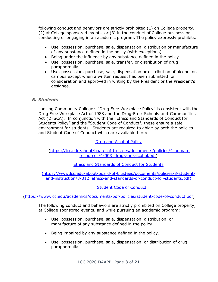following conduct and behaviors are strictly prohibited (1) on College property, (2) at College sponsored events, or (3) in the conduct of College business or conducting or engaging in an academic program. The policy expressly prohibits:

- Use, possession, purchase, sale, dispensation, distribution or manufacture of any substance defined in the policy (with exceptions).
- Being under the influence by any substance defined in the policy.
- Use, possession, purchase, sale, transfer, or distribution of drug paraphernalia.
- Use, possession, purchase, sale, dispensation or distribution of alcohol on campus except when a written request has been submitted for consideration and approved in writing by the President or the President's designee.

# *B. Students*

Lansing Community College's "Drug Free Workplace Policy" is consistent with the Drug Free Workplace Act of 1988 and the Drug-Free Schools and Communities Act (DFSCA). In conjunction with the "Ethics and Standards of Conduct for Students Policy" and the "Student Code of Conduct", these ensure a safe environment for students. Students are required to abide by both the policies and Student Code of Conduct which are available here:

# [Drug and Alcohol Policy](https://lcc.edu/about/board-of-trustees/documents/policies/4-human-resources/4-003_drug-and-alcohol.pdf)

[\(https://lcc.edu/about/board-of-trustees/documents/policies/4-human](https://lcc.edu/about/board-of-trustees/documents/policies/4-human-resources/4-003_drug-and-alcohol.pdf)[resources/4-003\\_drug-and-alcohol.pdf\)](https://lcc.edu/about/board-of-trustees/documents/policies/4-human-resources/4-003_drug-and-alcohol.pdf)

[Ethics and Standards of Conduct for Students](https://www.lcc.edu/about/board-of-trustees/documents/policies/3-student-and-instruction/3-012_ethics-and-standards-of-conduct-for-students.pdf)

(https://www.lcc.edu/about/board-of-trustees/documents/policies/3-studentand-instruction/3-012 ethics-and-standards-of-conduct-for-students.pdf)

# [Student Code of Conduct](https://www.lcc.edu/academics/documents/pdf-policies/student-code-of-conduct.pdf)

[\(https://www.lcc.edu/academics/documents/pdf-policies/student-code-of-conduct.pdf\)](https://www.lcc.edu/academics/documents/pdf-policies/student-code-of-conduct.pdf)

The following conduct and behaviors are strictly prohibited on College property, at College sponsored events, and while pursuing an academic program:

- Use, possession, purchase, sale, dispensation, distribution, or manufacture of any substance defined in the policy.
- Being impaired by any substance defined in the policy.
- Use, possession, purchase, sale, dispensation, or distribution of drug paraphernalia.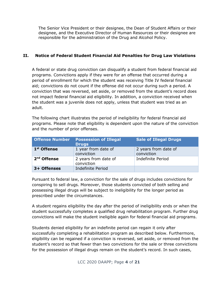The Senior Vice President or their designee, the Dean of Student Affairs or their designee, and the Executive Director of Human Resources or their designee are responsible for the administration of the Drug and Alcohol Policy.

# **II. Notice of Federal Student Financial Aid Penalties for Drug Law Violations**

A federal or state drug conviction can disqualify a student from federal financial aid programs. Convictions apply if they were for an offense that occurred during a period of enrollment for which the student was receiving Title IV federal financial aid; convictions do not count if the offense did not occur during such a period. A conviction that was reversed, set aside, or removed from the student's record does not impact federal financial aid eligibility. In addition, a conviction received when the student was a juvenile does not apply, unless that student was tried as an adult.

The following chart illustrates the period of ineligibility for federal financial aid programs. Please note that eligibility is dependent upon the nature of the conviction and the number of prior offenses.

| <b>Offense Number</b>   | <b>Possession of Illegal</b><br><b>Drugs</b> | <b>Sale of Illegal Drugs</b>       |
|-------------------------|----------------------------------------------|------------------------------------|
| 1 <sup>st</sup> Offense | 1 year from date of<br>conviction            | 2 years from date of<br>conviction |
| 2 <sup>nd</sup> Offense | 2 years from date of<br>conviction           | Indefinite Period                  |
| 3+ Offenses             | Indefinite Period                            |                                    |

Pursuant to federal law, a conviction for the sale of drugs includes convictions for conspiring to sell drugs. Moreover, those students convicted of both selling and possessing illegal drugs will be subject to ineligibility for the longer period as prescribed under the circumstances.

A student regains eligibility the day after the period of ineligibility ends or when the student successfully completes a qualified drug rehabilitation program. Further drug convictions will make the student ineligible again for federal financial aid programs.

Students denied eligibility for an indefinite period can regain it only after successfully completing a rehabilitation program as described below. Furthermore, eligibility can be regained if a conviction is reversed, set aside, or removed from the student's record so that fewer than two convictions for the sale or three convictions for the possession of illegal drugs remain on the student's record. In such cases,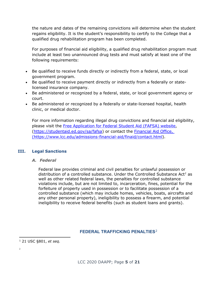the nature and dates of the remaining convictions will determine when the student regains eligibility. It is the student's responsibility to certify to the College that a qualified drug rehabilitation program has been completed.

For purposes of financial aid eligibility, a qualified drug rehabilitation program must include at least two unannounced drug tests and must satisfy at least one of the following requirements:

- Be qualified to receive funds directly or indirectly from a federal, state, or local government program.
- Be qualified to receive payment directly or indirectly from a federally or statelicensed insurance company.
- Be administered or recognized by a federal, state, or local government agency or court.
- Be administered or recognized by a federally or state-licensed hospital, health clinic, or medical doctor.

For more information regarding illegal drug convictions and financial aid eligibility, please visit the [Free Application for Federal Student Aid \(FAFSA\) website,](https://studentaid.ed.gov/sa/fafsa) [\(https://studentaid.ed.gov/sa/fafsa\)](https://studentaid.ed.gov/sa/fafsa) or contact the [Financial Aid Office,](https://www.lcc.edu/admissions-financial-aid/finaid/contact.html) [\(https://www.lcc.edu/admissions-financial-aid/finaid/contact.html\)](https://www.lcc.edu/admissions-financial-aid/finaid/contact.html).

# **III. Legal Sanctions**

#### *A. Federal*

Federal law provides criminal and civil penalties for unlawful possession or distribution of a controlled substance. Under the Controlled Substance Act*[1](#page-4-0)* as well as other related federal laws, the penalties for controlled substance violations include, but are not limited to, incarceration, fines, potential for the forfeiture of property used in possession or to facilitate possession of a controlled substance (which may include homes, vehicles, boats, aircrafts and any other personal property), ineligibility to possess a firearm, and potential ineligibility to receive federal benefits (such as student loans and grants).

# **FEDERAL TRAFFICKING PENALTIES**[2](#page-4-1)

<span id="page-4-1"></span> $\overline{2}$ 

<span id="page-4-0"></span> $\overline{a}$ <sup>1</sup> 21 USC §801, *et seq.*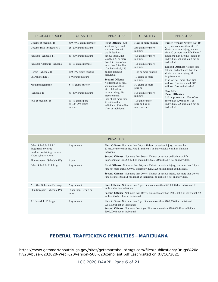| DRUG/SCHEDULE                                                                                                                    | <b>QUANTITY</b>                                 | <b>PENALTIES</b>                                                                                                                                                                                                                                             | <b>QUANTITY</b>                                                                                                                                                                                                                                                                                                                                       | <b>PENALTIES</b>                                                                                            |
|----------------------------------------------------------------------------------------------------------------------------------|-------------------------------------------------|--------------------------------------------------------------------------------------------------------------------------------------------------------------------------------------------------------------------------------------------------------------|-------------------------------------------------------------------------------------------------------------------------------------------------------------------------------------------------------------------------------------------------------------------------------------------------------------------------------------------------------|-------------------------------------------------------------------------------------------------------------|
| Cocaine (Schedule II)                                                                                                            | 500–4999 grams mixture                          | <b>First Offense: Not</b>                                                                                                                                                                                                                                    | 5 kgs or more mixture                                                                                                                                                                                                                                                                                                                                 | <b>First Offense:</b> Not less than 10                                                                      |
| Cocaine Base (Schedule II)                                                                                                       | 28–279 grams mixture                            | less than 5 yrs., and<br>not more than 40<br>yrs. If death or                                                                                                                                                                                                | 280 grams or more<br>mixture                                                                                                                                                                                                                                                                                                                          | yrs., and not more than life. If<br>death or serious injury, not less<br>than 20 or more than life. Fine of |
| Fentanyl (Schedule II)                                                                                                           | 40-399 grams mixture                            | serious injury, not<br>less than 20 or more                                                                                                                                                                                                                  | 400 grams or more<br>mixture                                                                                                                                                                                                                                                                                                                          | not more than \$10 mil-lion if an<br>individual, \$50 million if not an                                     |
| Fentanyl Analogue (Schedule<br>$\Gamma$                                                                                          | 10-99 grams mixture                             | than life. Fine of not<br>more than \$5 million<br>if an individual, \$25                                                                                                                                                                                    | 100 grams or more<br>mixture                                                                                                                                                                                                                                                                                                                          | individual.<br><b>Second Offense: Not less than</b>                                                         |
| Heroin (Schedule I)                                                                                                              | 100-999 grams mixture                           | million if not an<br>individual.                                                                                                                                                                                                                             | 1 kg or more mixture                                                                                                                                                                                                                                                                                                                                  | 20 yrs., and not more than life. If<br>death or serious injury, life                                        |
| LSD (Schedule I)                                                                                                                 | $1-9$ grams mixture                             | <b>Second Offense:</b><br>Not less than 10 yrs.,                                                                                                                                                                                                             | 10 grams or more<br>mixture                                                                                                                                                                                                                                                                                                                           | imprisonment.<br>Fine of not more than \$20                                                                 |
| Methamphetamine                                                                                                                  | 5–49 grams pure or                              | and not more than<br>life. I f death or                                                                                                                                                                                                                      | 50 grams or more<br>pure or                                                                                                                                                                                                                                                                                                                           | million if an individual, \$75<br>million if not an individual.                                             |
| (Schedule II)                                                                                                                    | 50–499 grams mixture                            | serious injury, life<br>imprisonment.                                                                                                                                                                                                                        | 500 grams or more<br>mixture                                                                                                                                                                                                                                                                                                                          | 2 or More<br><b>Prior Offenses:</b><br>Life imprisonment. Fine of not                                       |
| PCP (Schedule I I)                                                                                                               | 10–99 grams pure<br>or 100-999 grams<br>mixture | Fine of not more than<br>\$8 million if an<br>individual, \$50 million<br>if not an individual.                                                                                                                                                              | 100 gm or more<br>pure or 1 kg or<br>more mixture                                                                                                                                                                                                                                                                                                     | more than \$20 million if an<br>individual, \$75 million if not an<br>individual.                           |
|                                                                                                                                  |                                                 | <b>PENALTIES</b>                                                                                                                                                                                                                                             |                                                                                                                                                                                                                                                                                                                                                       |                                                                                                             |
| Other Schedule I & I I<br>drugs (and any drug<br>product containing Gamma<br>Hydroxybutyric Acid)<br>Flunitrazepam (Schedule IV) | Any amount<br>1 gram                            | individual.                                                                                                                                                                                                                                                  | First Offense: Not more than 20 yrs. If death or serious injury, not less than<br>20 yrs., or more than life. Fine \$1 million if an individual, \$5 million if not an<br><b>Second Offense:</b> Not more than 30 yrs. If death or serious bodily injury, life<br>imprisonment. Fine \$2 million if an individual, \$10 million if not an individual. |                                                                                                             |
| Other Schedule III drugs                                                                                                         | Any amount                                      |                                                                                                                                                                                                                                                              | Fine not more than \$500,000 if an individual, \$2.5 million if not an individual.                                                                                                                                                                                                                                                                    | <b>First Offense:</b> Not more than 10 years. If death or serious injury, not more than 15 yrs.             |
|                                                                                                                                  |                                                 |                                                                                                                                                                                                                                                              | Fine not more than \$1 million if an individual, \$5 million if not an individual.                                                                                                                                                                                                                                                                    | <b>Second Offense:</b> Not more than 20 yrs. If death or serious injury, not more than 30 yrs.              |
| All other Schedule IV drugs                                                                                                      | Any amount                                      |                                                                                                                                                                                                                                                              |                                                                                                                                                                                                                                                                                                                                                       | <b>First Offense:</b> Not more than 5 yrs. Fine not more than \$250,000 if an individual, \$1               |
| Flunitrazepam (Schedule IV)                                                                                                      | Other than 1 gram or<br>more                    | million if not an individual.<br><b>Second Offense:</b> Not more than 10 yrs. Fine not more than \$500,000 if an individual, \$2<br>million if other than an individual.                                                                                     |                                                                                                                                                                                                                                                                                                                                                       |                                                                                                             |
| All Schedule V drugs                                                                                                             | Any amount                                      | <b>First Offense:</b> Not more than 1 yr. Fine not more than \$100,000 if an individual,<br>\$250,000 if not an individual.<br><b>Second Offense:</b> Not more than 4 yrs. Fine not more than \$200,000 if an individual,<br>\$500,000 if not an individual. |                                                                                                                                                                                                                                                                                                                                                       |                                                                                                             |

# **FEDERAL TRAFFICKING PENALTIES—MARIJUANA**

https://www.getsmartaboutdrugs.gov/sites/getsmartaboutdrugs.com/files/publications/Drugs%20o f%20Abuse%202020-Web%20Version-508%20compliant.pdf Last visited on 07/16/2021

 $\overline{a}$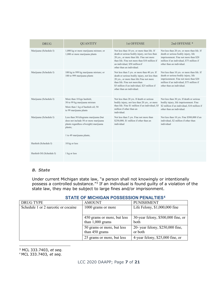| <b>DRUG</b>              | <b>QUANTITY</b>                                                                                                                                                  | 1st OFFENSE                                                                                                                                                                                                                                               | 2nd OFFENSE <sup>*</sup>                                                                                                                                                                               |
|--------------------------|------------------------------------------------------------------------------------------------------------------------------------------------------------------|-----------------------------------------------------------------------------------------------------------------------------------------------------------------------------------------------------------------------------------------------------------|--------------------------------------------------------------------------------------------------------------------------------------------------------------------------------------------------------|
| Marijuana (Schedule I)   | 1,000 kg or more marijuana mixture; or<br>1,000 or more marijuana plants                                                                                         | Not less than 10 yrs. or more than life. If<br>death or serious bodily injury, not less than<br>20 yrs., or more than life. Fine not more<br>than life. Fine not more than \$10 million if<br>an individual, \$50 million if<br>other than an individual. | Not less than 20 yrs. or more than life. If<br>death or serious bodily injury, life<br>imprisonment. Fine not more than \$20<br>million if an individual, \$75 million if<br>other than an individual. |
| Marijuana (Schedule I)   | 100 kg to 999 kg marijuana mixture; or<br>100 to 999 marijuana plants                                                                                            | Not less than 5 yrs. or more than 40 yrs. If<br>death or serious bodily injury, not less than<br>20 yrs., or more than life. Fine not more<br>than life. Fine not more than<br>\$5 million if an individual, \$25 million if<br>other than an individual. | Not less than 10 yrs. or more than life. If<br>death or serious bodily injury, life<br>imprisonment. Fine not more than \$20<br>million if an individual, \$75 million if<br>other than an individual. |
| Marijuana (Schedule I)   | More than 10 kgs hashish;<br>50 to 99 kg marijuana mixture<br>More than 1 kg of hashish oil; 50<br>to 99 marijuana plants                                        | Not less than 20 yrs. If death or serious<br>bodily injury, not less than 20 yrs., or more<br>than life. Fine \$1 million if an individual, \$5<br>million if other than an<br>individual.                                                                | Not less than 30 yrs. If death or serious<br>bodily injury, life imprisonment. Fine<br>\$2 million if an individual, \$10 million if<br>other than an individual.                                      |
| Marijuana (Schedule I)   | Less than 50 kilograms marijuana (but<br>does not include 50 or more marijuana<br>plants regardless of weight) marijuana<br>plants;<br>1 to 49 marijuana plants; | Not less than 5 yrs. Fine not more than<br>\$250,000, \$1 million if other than an<br>individual                                                                                                                                                          | Not less than 10 yrs. Fine \$500,000 if an<br>individual, \$2 million if other than<br>individual                                                                                                      |
| Hashish (Schedule I)     | 10 kg or less                                                                                                                                                    |                                                                                                                                                                                                                                                           |                                                                                                                                                                                                        |
| Hashish Oil (Schedule I) | 1 kg or less                                                                                                                                                     |                                                                                                                                                                                                                                                           |                                                                                                                                                                                                        |

#### *B. State*

Under current Michigan state law, "a person shall not knowingly or intentionally possess a controlled substance."<sup>[3](#page-6-0)</sup> If an individual is found guilty of a violation of the state law, they may be subject to large fines and/or imprisonment.

#### **STATE OF MICHIGAN POSSESSION PENALTIES[4](#page-6-1)**

| <b>DRUG TYPE</b>                    | <b>AMOUNT</b>               | <b>PUNISHMENT</b>                  |
|-------------------------------------|-----------------------------|------------------------------------|
| Schedule 1 or 2 narcotic or cocaine | 1000 grams or more          | Life Felony, \$1,000,000 fine      |
|                                     |                             |                                    |
|                                     | 450 grams or more, but less | 30-year felony, \$500,000 fine, or |
|                                     | than $1,000$ grams          | both                               |
|                                     | 50 grams or more, but less  | 20- year felony, \$250,000 fine,   |
|                                     | than 450 grams              | or both                            |
|                                     | 25 grams or more, but less  | 4-year felony, \$25,000 fine, or   |

<sup>3</sup> MCL 333.7403, *et seq.*

 $\overline{a}$ 

<span id="page-6-1"></span><span id="page-6-0"></span><sup>4</sup> MCL 333.7403*, et seq.*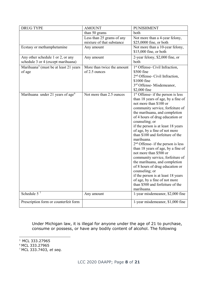| <b>DRUG TYPE</b>                                  | <b>AMOUNT</b>              | PUNISHMENT                                                   |
|---------------------------------------------------|----------------------------|--------------------------------------------------------------|
|                                                   | than 50 grams              | both                                                         |
|                                                   | Less than 25 grams of any  | Not more than a 4-year felony,                               |
|                                                   | mixture of that substance  | \$25,0000 fine, or both                                      |
| Ecstasy or methamphetamine                        | Any amount                 | Not more than a 10-year felony,                              |
|                                                   |                            | \$15,000 fine, or both                                       |
| Any other schedule 1 or 2, or any                 | Any amount                 | 2-year felony, \$2,000 fine, or                              |
| schedule 3 or 4 (except marihuana)                |                            | both                                                         |
| Marihuana <sup>5</sup> (must be at least 21 years | More than twice the amount | 1 <sup>st</sup> Offense- Civil Infraction,                   |
| of age                                            | of 2.5 ounces              | \$500 fine                                                   |
|                                                   |                            | 2 <sup>nd</sup> Offense- Civil Infraction,                   |
|                                                   |                            | \$1000 fine                                                  |
|                                                   |                            | 3 <sup>rd</sup> Offense-Misdemeanor,                         |
|                                                   |                            | \$2,000 fine                                                 |
| Marihuana under 21 years of age <sup>6</sup>      | Not more than 2.5 ounces   | 1 <sup>st</sup> Offense- if the person is less               |
|                                                   |                            | than 18 years of age, by a fine of<br>not more than \$100 or |
|                                                   |                            | community service, forfeiture of                             |
|                                                   |                            | the marihuana, and completion                                |
|                                                   |                            | of 4 hours of drug education or                              |
|                                                   |                            | counseling; or                                               |
|                                                   |                            | if the person is at least 18 years                           |
|                                                   |                            | of age, by a fine of not more                                |
|                                                   |                            | than \$100 and forfeiture of the                             |
|                                                   |                            | marihuana.                                                   |
|                                                   |                            | $2nd$ Offense- if the person is less                         |
|                                                   |                            | than 18 years of age, by a fine of                           |
|                                                   |                            | not more than \$500 or                                       |
|                                                   |                            | community service, forfeiture of                             |
|                                                   |                            | the marihuana, and completion                                |
|                                                   |                            | of 8 hours of drug education or                              |
|                                                   |                            | counseling; or                                               |
|                                                   |                            | if the person is at least 18 years                           |
|                                                   |                            | of age, by a fine of not more                                |
|                                                   |                            | than \$500 and forfeiture of the                             |
|                                                   |                            | marihuana.                                                   |
| Schedule 5 <sup>7</sup>                           | Any amount                 | 1-year misdemeanor, \$2,000 fine                             |
| Prescription form or counterfeit form             |                            | 1-year misdemeanor, \$1,000 fine                             |

Under Michigan law, it is illegal for anyone under the age of 21 to purchase, consume or possess, or have any bodily content of alcohol. The following

 <sup>5</sup> MCL 333.27965

<span id="page-7-1"></span><span id="page-7-0"></span><sup>6</sup> MCL 333.27965

<span id="page-7-2"></span><sup>7</sup> MCL 333.7403*, et seq.*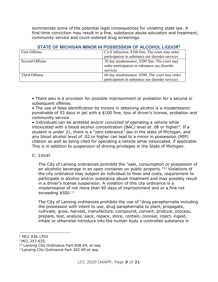summarizes some of the potential legal consequences for violating state law. A first-time conviction may result in a fine, substance abuse education and treatment, community service and court-ordered drug screenings.

| STATE OF MICHIGAN MINOR IN POSSESSION OF ALCOHOL LIQUOR. |                                                   |
|----------------------------------------------------------|---------------------------------------------------|
| First Offense                                            | Civil infraction, \$100 fine, The court may order |
|                                                          | participation in substance use disorder services  |
| Second Offense                                           | 30 day misdemeanor, \$200 fine, The court may     |
|                                                          | order participation in substance use disorder     |
|                                                          | services                                          |
| Third Offense                                            | 60 day misdemeanor, \$500, The court may order    |
|                                                          | participation in substance use disorder services  |

#### **STATE OF MICHIGAN MINOR IN POSSESSION OF ALCOHOL LIQUOR[8](#page-8-0)**

• There also is a provision for possible imprisonment or probation for a second or subsequent offense.

• The use of false identification by minors in obtaining alcohol is a misdemeanor punishable of 93 days in jail with a \$100 fine, loss of driver's license, probation and community service.

• Individuals can be arrested and/or convicted of operating a vehicle while intoxicated with a blood alcohol concentration (BAC) level at .08 or higher<sup>9</sup>. If a student is under 21, there is a "zero tolerance" law in the state of Michigan, and any blood alcohol level of .02 or higher can lead to a minor in possession (MIP) citation as well as being cited for operating a vehicle while intoxicated, if applicable. This is in addition to suspension of driving privileges in the State of Michigan.

#### *C. Local*

The City of Lansing ordinances prohibits the "sale, consumption or possession of an alcoholic beverage in an open container on public property."[10](#page-8-2) Violations of the city ordinance may subject an individual to fines and costs, requirement to participate in alcohol and/or substance abuse treatment and may possibly result in a driver's license suspension. A violation of this city ordinance is a misdemeanor of not more than 90 days of imprisonment and or a fine not exceeding  $$500.<sup>11</sup>$  $$500.<sup>11</sup>$  $$500.<sup>11</sup>$ 

The City of Lansing ordinances prohibits the use of "drug paraphernalia including the possession with intent to use, drug paraphernalia to plant, propagate, cultivate, grow, harvest, manufacture, compound, convert, produce, process, prepare, test, analyze, pack, repack, store, contain, conceal, inject, ingest, inhale or otherwise introduce into the human body a controlled substance in

<span id="page-8-0"></span> <sup>8</sup> MCL 436.1703

<span id="page-8-1"></span><sup>9</sup> MCL 257.625

<span id="page-8-2"></span><sup>10</sup> Lansing City Ordinance Part 608.04, *et seq.*

<span id="page-8-3"></span><sup>11</sup>Lansing City Ordinance Part 202.99 *et seq.*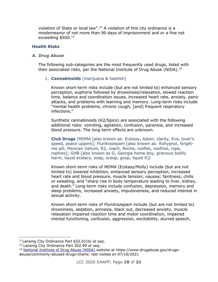violation of State or local law".[12](#page-9-0) A violation of this city ordinance is a misdemeanor of not more than 90 days of imprisonment and or a fine not exceeding \$500.[13](#page-9-1)

### **Health Risks**

#### *A. Drug Abuse*

The following sub-categories are the most frequently used drugs, listed with their associated risks, per the National Institute of Drug Abuse (NIDA).<sup>[14](#page-9-2)</sup>

#### 1. **Cannabinoids** (marijuana & hashish)

Known short-term risks include (but are not limited to) enhanced sensory perception, euphoria followed by drowsiness/relaxation, slowed reaction time, balance and coordination issues, increased heart rate, anxiety, panic attacks, and problems with learning and memory. Long-term risks include "mental health problems, chronic cough, [and] frequent respiratory infections."

Synthetic cannabinoids (K2/Spice) are associated with the following additional risks: vomiting, agitation, confusion, paranoia, and increased blood pressure. The long-term effects are unknown.

**Club Drugs** (MDMA [also known as: Ecstasy, Adam, clarity, Eve, lover's speed, peace uppers]; Flunitrazepam [also known as: Rohypnol, forgetme pill, Mexican Valium, R2, roach, Roche, roofies, roofinol, rope, rophies]; GHB [also known as G, Georgia home boy, grievous bodily harm, liquid ecstacy, soap, scoop, goop, liquid X])

Known short-term risks of *MDMA* (Ecstasy/Molly) include (but are not limited to) lowered inhibition, enhanced sensory perception, increased heart rate and blood pressure, muscle tension; nausea; faintness; chills or sweating, and "sharp rise in body temperature leading to liver, kidney, and death." Long-term risks include confusion, depression, memory and sleep problems, increased anxiety, impulsiveness, and reduced interest in sexual activity.

Known short-term risks of *Flunitrazepam* include (but are not limited to) drowsiness, sedation, amnesia, black out, decreased anxiety, muscle relaxation impaired reaction time and motor coordination, impaired mental functioning, confusion, aggression, excitability, slurred speech,

<span id="page-9-0"></span> <sup>12</sup> Lansing City Ordinance Part 622.01(b) *et seq*.

<span id="page-9-1"></span><sup>13</sup> Lansing City Ordinance Part 202.99 *et seq.*

<span id="page-9-2"></span><sup>14</sup> [National Institute of Drug Abuse \(NIDA\)](https://www.drugabuse.gov/drugs-abuse/commonly-abused-drugs-charts) website at https://www.drugabuse.gov/drugsabuse/commonly-abused-drugs-charts: last visited on 07/16/2021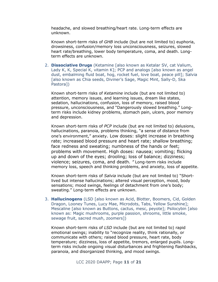headache, and slowed breathing/heart rate. Long-term effects are unknown.

Known short-term risks of *GHB* include (but are not limited to) euphoria, drowsiness, confusion/memory loss unconsciousness, seizures, slowed heart rate/breathing, lower body temperature, coma, and death. Longterm effects are unknown.

2. **Dissociative Drugs** (Ketamine [also known as Ketalar SV, cat Valium, Lady K, K, Special K, vitamin K]; PCP and analogs [also known as angel dust, embalming fluid boat, hog, rocket fuel, love boat, peace pill]; Salvia [also known as Chia seeds, Diviner's Sage, Magic Mint, Sally-D, Ska Pastora])

Known short-term risks of *Ketamine* include (but are not limited to) attention, memory issues, and learning issues, dream like states, sedation, hallucinations, confusion, loss of memory, raised blood pressure, unconsciousness, and "Dangerously slowed breathing." Longterm risks include kidney problems, stomach pain, ulcers, poor memory and depression.

Known short-term risks of *PCP* include (but are not limited to) delusions, hallucinations, paranoia, problems thinking, "a sense of distance from one's environment," anxiety. Low doses: slight increase in breathing rate; increased blood pressure and heart rate; shallow breathing; face redness and sweating; numbness of the hands or feet; problems with movement. High doses: nausea; vomiting; flicking up and down of the eyes; drooling; loss of balance; dizziness; violence; seizures, coma, and death. *"* Long-term risks include memory loss, speech and thinking problems, and anxiety, loss of appetite.

Known short-term risks of *Salvia* include (but are not limited to) "Shortlived but intense hallucinations; altered visual perception, mood, body sensations; mood swings, feelings of detachment from one's body; sweating." Long-term effects are unknown.

3. **Hallucinogens** (LSD [also known as Acid, Blotter, Boomers, Cid, Golden Dragon, Looney Tunes, Lucy Mae, Microdots, Tabs, Yellow Sunshine]; Mescaline [also known as Buttons, cactus, mesc, peyote]; Psilocybin [also known as: Magic mushrooms, purple passion, shrooms, little smoke, sewage fruit, sacred mush, zoomers])

Known short-term risks of *LSD* include (but are not limited to) rapid emotional swings; inability to "recognize reality, think rationally, or communicate with others; raised blood pressure, heart rate, body temperature; dizziness, loss of appetite, tremors, enlarged pupils. Longterm risks include ongoing visual disturbances and frightening flashbacks, paranoia, and disorganized thinking, and mood swings.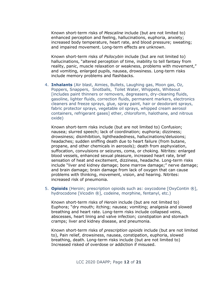Known short-term risks of *Mescaline* include (but are not limited to) enhanced perception and feeling, hallucinations, euphoria, anxiety; increased body temperature, heart rate, and blood pressure; sweating; and impaired movement. Long-term effects are unknown.

Known short-term risks of *Psilocybin* include (but are not limited to) hallucinations, "altered perception of time, inability to tell fantasy from reality, panic, muscle relaxation or weakness, problems with movement," and vomiting, enlarged pupils, nausea, drowsiness. Long-term risks include memory problems and flashbacks.

4. **Inhalants** (Air blast, Aimies, Bullets, Laughing gas, Moon gas, Oz, Poppers, Snappers, Snotballs, Toilet Water, Whippets, Whiteout [includes paint thinners or removers, degreasers, dry-cleaning fluids, gasoline, lighter fluids, correction fluids, permanent markers, electronics cleaners and freeze sprays, glue, spray paint, hair or deodorant sprays, fabric protector sprays, vegetable oil sprays, whipped cream aerosol containers, refrigerant gases] ether, chloroform, halothane, and nitrous oxide)

Known short-term risks include (but are not limited to) Confusion; nausea; slurred speech; lack of coordination; euphoria; dizziness; drowsiness; disinhibition, lightheadedness, hallucinations/delusions; headaches; sudden sniffing death due to heart failure (from butane, propane, and other chemicals in aerosols); death from asphyxiation, suffocation, convulsions or seizures, coma, or choking. Nitrites: enlarged blood vessels, enhanced sexual pleasure, increased heart rate, brief sensation of heat and excitement, dizziness, headache. Long-term risks include "liver and kidney damage; bone marrow damage;" nerve damage; and brain damage; brain damage from lack of oxygen that can cause problems with thinking, movement, vision, and hearing. Nitrites: increased risk of pneumonia.

5. **Opioids** (Heroin; prescription opioids such as: oxycodone [OxyContin ®], hydrocodone [Vicodin ®], codeine, morphine, fentanyl, etc.)

Known short-term risks of *Heroin* include (but are not limited to) Euphora; "dry mouth; itching; nausea; vomiting; analgesia and slowed breathing and heart rate. Long-term risks include collapsed veins, abscesses, heart lining and valve infection; constipation and stomach cramps; liver and kidney disease, and pneumonia.

Known short-term risks of *prescription opioids* include (but are not limited to), Pain relief, drowsiness, nausea, constipation, euphoria, slowed breathing, death. Long-term risks include (but are not limited to) Increased risked of overdose or addiction if misused.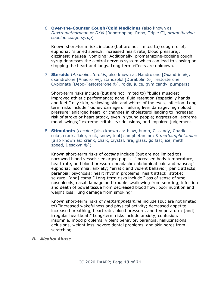6. **Over-the-Counter Cough/Cold Medicines** (also known as *Dextromethorphan* or *DXM* [Robotripping, Robo, Triple C], *promethazinecodeine cough syrup*)

Known short-term risks include (but are not limited to) cough relief; euphoria; "slurred speech; increased heart rate, blood pressure,; dizziness; nausea; vomiting; Additionally, promethazine-codeine cough syrup depresses the central nervous system which can lead to slowing or stopping the heart and lungs. Long-term effects are unknown.

7. **Steroids** (*Anabolic steroids*, also known as Nandrolone [Oxandrin ®], oxandrolone [Anadrol ®], stanozolol [Durabolin ®] Testosterone Cypionate [Depo-Testosterone ®], roids, juice, gym candy, pumpers)

Short-term risks include (but are not limited to) "builds muscles; improved athletic performance; acne, fluid retention (especially hands and feet," oily skin, yellowing skin and whites of the eyes, infection. Longterm risks include "kidney damage or failure; liver damage; high blood pressure; enlarged heart, or changes in cholesterol leading to increased risk of stroke or heart attack, even in young people; aggression; extreme mood swings;" extreme irritability; delusions, and impaired judgement.

8. **Stimulants** (*cocaine* [also known as: blow, bump, C, candy, Charlie, coke, crack, flake, rock, snow, toot]; amphetamine; & *methamphetamine* [also known as: crank, chalk, crystal, fire, glass, go fast, ice, meth, speed, Desoxyn ®1)

Known short-term risks of *cocaine* include (but are not limited to) narrowed blood vessels; enlarged pupils, "increased body temperature, heart rate, and blood pressure; headache; abdominal pain and nausea;" euphoria; insomnia; anxiety; "erratic and violent behavior; panic attacks; paranoia; psychosis; heart rhythm problems; heart attack; stroke; seizure; [and] coma." Long-term risks include "loss of sense of smell, nosebleeds, nasal damage and trouble swallowing from snorting; infection and death of bowel tissue from decreased blood flow; poor nutrition and weight loss; lung damage from smoking"

Known short-term risks of *methamphetamine* include (but are not limited to) "increased wakefulness and physical activity; decreased appetite; increased breathing, heart rate, blood pressure, and temperature; [and] irregular heartbeat." Long-term risks include anxiety, confusion, insomnia, mood problems, violent behavior, paranoia, hallucinations, delusions, weight loss, severe dental problems, and skin sores from scratching.

*B. Alcohol Abuse*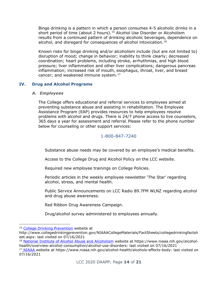Binge drinking is a pattern in which a person consumes 4-5 alcoholic drinks in a short period of time (about 2 hours).<sup>[15](#page-13-0)</sup> Alcohol Use Disorder or Alcoholism results from a continued pattern of drinking alcoholic beverages, dependence on alcohol, and disregard for consequences of alcohol intoxication.<sup>[16](#page-13-1)</sup>

Known risks for binge drinking and/or alcoholism include (but are not limited to) disruption of mood; change in behavior; inability to think clearly; decreased coordination; heart problems, including stroke, arrhythmias, and high blood pressure; liver inflammation and other liver complications; dangerous pancreas inflammation; increased risk of mouth, esophagus, throat, liver, and breast cancer; and weakened immune system.<sup>[17](#page-13-2)</sup>

# **IV. Drug and Alcohol Programs**

#### *A. Employees*

The College offers educational and referral services to employees aimed at preventing substance abuse and assisting in rehabilitation. The Employee Assistance Program (EAP) provides resources to help employees resolve problems with alcohol and drugs. There is 24/7 phone access to live counselors, 365 days a year for assessment and referral. Please refer to the phone number below for counseling or other support services:

#### 1-800-847-7240

Substance abuse needs may be covered by an employee's medical benefits.

Access to the College Drug and Alcohol Policy on the LCC website.

Required new employee trainings on College Policies.

Periodic articles in the weekly employee newsletter 'The Star' regarding alcohol, stress, and mental health.

Public Service Announcements on LCC Radio 89.7FM WLNZ regarding alcohol and drug abuse awareness.

Red Ribbon Drug Awareness Campaign.

Drug/alcohol survey administered to employees annually.

<span id="page-13-0"></span> $\overline{a}$ <sup>15</sup> [College Drinking Prevention](http://www.collegedrinkingprevention.gov/NIAAACollegeMaterials/FactSheets/collegedrinkingfactsheet.aspx) website at

http://www.collegedrinkingprevention.gov/NIAAACollegeMaterials/FactSheets/collegedrinkingfactsh eet.aspx: last visited on 07/16/2021

<span id="page-13-1"></span><sup>16</sup> [National Institute of Alcohol Abuse and Alcoholism](https://www.niaaa.nih.gov/alcohol-health/overview-alcohol-consumption/alcohol-use-disorders) website at https://www.niaaa.nih.gov/alcoholhealth/overview-alcohol-consumption/alcohol-use-disorders: last visited on 07/16/2021

<span id="page-13-2"></span><sup>17</sup> [NIAAA w](https://www.niaaa.nih.gov/alcohol-health/alcohols-effects-body)ebsite at https://www.niaaa.nih.gov/alcohol-health/alcohols-effects-body: last visited on 07/16/2021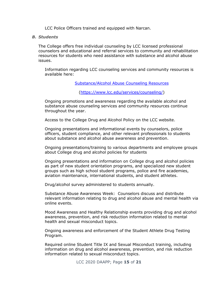LCC Police Officers trained and equipped with Narcan.

*B. Students*

The College offers free individual counseling by LCC licensed professional counselors and educational and referral services to community and rehabilitation resources for students who need assistance with substance and alcohol abuse issues.

Information regarding LCC counseling services and community resources is available here:

[Substance/Alcohol](https://www.lcc.edu/services/counseling/index.html) Abuse Counseling Resources

[\(https://www.lcc.edu/services/counseling/\)](https://www.lcc.edu/services/counseling/)

Ongoing promotions and awareness regarding the available alcohol and substance abuse counseling services and community resources continue throughout the year.

Access to the College Drug and Alcohol Policy on the LCC website.

Ongoing presentations and informational events by counselors, police officers, student compliance, and other relevant professionals to students about substance and alcohol abuse awareness and prevention.

Ongoing presentations/training to various departments and employee groups about College drug and alcohol policies for students

Ongoing presentations and information on College drug and alcohol policies as part of new student orientation programs, and specialized new student groups such as high school student programs, police and fire academies, aviation maintenance, international students, and student athletes.

Drug/alcohol survey administered to students annually.

Substance Abuse Awareness Week: Counselors discuss and distribute relevant information relating to drug and alcohol abuse and mental health via online events.

Mood Awareness and Healthy Relationship events providing drug and alcohol awareness, prevention, and risk reduction information related to mental health and sexual misconduct topics.

Ongoing awareness and enforcement of the Student Athlete Drug Testing Program.

Required online Student Title IX and Sexual Misconduct training, including information on drug and alcohol awareness, prevention, and risk reduction information related to sexual misconduct topics.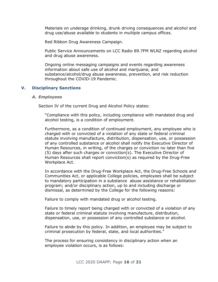Materials on underage drinking, drunk driving consequences and alcohol and drug use/abuse available to students in multiple campus offices.

Red Ribbon Drug Awareness Campaign.

Public Service Announcements on LCC Radio 89.7FM WLNZ regarding alcohol and drug abuse awareness.

Ongoing online messaging campaigns and events regarding awareness information about safe use of alcohol and marijuana; and substance/alcohol/drug abuse awareness, prevention, and risk reduction throughout the COVID-19 Pandemic.

#### **V. Disciplinary Sanctions**

#### *A. Employees*

Section IV of the current Drug and Alcohol Policy states:

"Compliance with this policy, including compliance with mandated drug and alcohol testing, is a condition of employment.

Furthermore, as a condition of continued employment, any employee who is charged with or convicted of a violation of any state or federal criminal statute involving manufacture, distribution, dispensation, use, or possession of any controlled substance or alcohol shall notify the Executive Director of Human Resources, in writing, of the charges or conviction no later than five (5) days after such charges or conviction(s). The Executive Director of Human Resources shall report conviction(s) as required by the Drug-Free Workplace Act.

In accordance with the Drug-Free Workplace Act, the Drug-Free Schools and Communities Act, or applicable College policies, employees shall be subject to mandatory participation in a substance abuse assistance or rehabilitation program; and/or disciplinary action, up to and including discharge or dismissal, as determined by the College for the following reasons:

Failure to comply with mandated drug or alcohol testing.

Failure to timely report being charged with or convicted of a violation of any state or federal criminal statute involving manufacture, distribution, dispensation, use, or possession of any controlled substance or alcohol.

Failure to abide by this policy. In addition, an employee may be subject to criminal prosecution by federal, state, and local authorities."

The process for ensuring consistency in disciplinary action when an employee violation occurs, is as follows: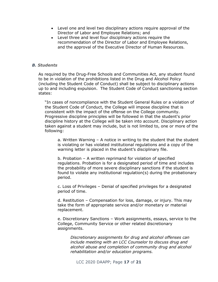- Level one and level two disciplinary actions require approval of the Director of Labor and Employee Relations; and
- Level three and level four disciplinary actions require the recommendation of the Director of Labor and Employee Relations, and the approval of the Executive Director of Human Resources.

#### *B. Students*

As required by the Drug-Free Schools and Communities Act, any student found to be in violation of the prohibitions listed in the Drug and Alcohol Policy (including the Student Code of Conduct) shall be subject to disciplinary actions up to and including expulsion. The Student Code of Conduct sanctioning section states:

"In cases of noncompliance with the Student General Rules or a violation of the Student Code of Conduct, the College will impose discipline that is consistent with the impact of the offense on the College community. Progressive discipline principles will be followed in that the student's prior discipline history at the College will be taken into account. Disciplinary action taken against a student may include, but is not limited to, one or more of the following:

a. Written Warning – A notice in writing to the student that the student is violating or has violated institutional regulations and a copy of the warning letter is placed in the student's disciplinary file.

b. Probation – A written reprimand for violation of specified regulations. Probation is for a designated period of time and includes the probability of more severe disciplinary sanctions if the student is found to violate any institutional regulation(s) during the probationary period.

c. Loss of Privileges – Denial of specified privileges for a designated period of time.

d. Restitution – Compensation for loss, damage, or injury. This may take the form of appropriate service and/or monetary or material replacement.

e. Discretionary Sanctions – Work assignments, essays, service to the College, Community Service or other related discretionary assignments.

*Discretionary assignments for drug and alcohol offenses can include meeting with an LCC Counselor to discuss drug and alcohol abuse and completion of community drug and alcohol rehabilitation and/or education programs.* 

LCC 2020 DAAPP; Page **17** of **21**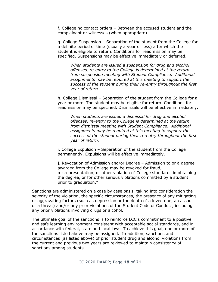f. College no contact orders – Between the accused student and the complainant or witnesses (when appropriate).

g. College Suspension – Separation of the student from the College for a definite period of time (usually a year or less) after which the student is eligible to return. Conditions for readmission may be specified. Suspensions may be effective immediately or deferred.

*When students are issued a suspension for drug and alcohol offenses, re-entry to the College is determined at the return from suspension meeting with Student Compliance. Additional assignments may be required at this meeting to support the success of the student during their re-entry throughout the first year of return.* 

h. College Dismissal – Separation of the student from the College for a year or more. The student may be eligible for return. Conditions for readmission may be specified. Dismissals will be effective immediately.

*When students are issued a dismissal for drug and alcohol offenses, re-entry to the College is determined at the return from dismissal meeting with Student Compliance. Additional assignments may be required at this meeting to support the success of the student during their re-entry throughout the first year of return.* 

i. College Expulsion – Separation of the student from the College permanently. Expulsions will be effective immediately.

j. Revocation of Admission and/or Degree – Admission to or a degree awarded from the College may be revoked for fraud, misrepresentation, or other violation of College standards in obtaining the degree, or for other serious violations committed by a student prior to graduation."

Sanctions are administered on a case by case basis, taking into consideration the severity of the violation, the specific circumstances, the presence of any mitigating or aggravating factors (such as depression or the death of a loved one, an assault or a threat) and/or any prior violations of the Student Code of Conduct, including any prior violations involving drugs or alcohol.

The ultimate goal of the sanctions is to reinforce LCC's commitment to a positive and safe learning environment consistent with acceptable social standards, and in accordance with federal, state and local laws. To achieve this goal, one or more of the sanctions listed above may be assigned. In addition, sanctions and circumstances (as listed above) of prior student drug and alcohol violations from the current and previous two years are reviewed to maintain consistency of sanctions among students.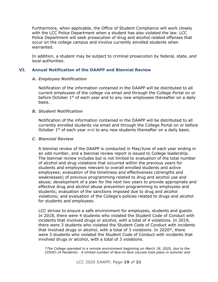Furthermore, when applicable, the Office of Student Compliance will work closely with the LCC Police Department when a student has also violated the law. LCC Police Department will seek prosecution of drug and alcohol related offenses that occur on the college campus and involve currently enrolled students when warranted.

In addition, a student may be subject to criminal prosecution by federal, state, and local authorities.

#### **VI. Annual Notification of the DAAPP and Biennial Review**

#### *A. Employee Notification*

Notification of the information contained in the DAAPP will be distributed to all current employees of the college via email and through the College Portal on or before October 1<sup>st</sup> of each year and to any new employees thereafter on a daily basis.

#### *B. Student Notification*

Notification of the information contained in the DAAPP will be distributed to all currently enrolled students via email and through the College Portal on or before October 1<sup>st</sup> of each year and to any new students thereafter on a daily basis.

#### *C. Biennial Review*

A biennial review of the DAAPP is conducted in May/June of each year ending in an odd number, and a biennial review report is issued to College leadership. The biennial review includes but is not limited to evaluation of the total number of alcohol and drug violations that occurred within the previous years for students and employees relevant to overall enrolled students and active employees; evaluation of the timeliness and effectiveness (strengths and weaknesses) of previous programming related to drug and alcohol use and abuse; development of a plan for the next two years to provide appropriate and effective drug and alcohol abuse prevention programming to employees and students; evaluation of the sanctions imposed due to drug and alcohol violations; and evaluation of the College's policies related to drugs and alcohol for students and employees.

LCC strives to ensure a safe environment for employees, students and guests. In 2018, there were 4 students who violated the Student Code of Conduct with incidents that involved drugs or alcohol, with a total of 4 violations. In 2019, there were 3 students who violated the Student Code of Conduct with incidents that involved drugs or alcohol, with a total of 3 violations. In 2020\*, there were 3 students who violated the Student Code of Conduct with incidents that involved drugs or alcohol, with a total of 3 violations.

\**The College operated in a remote environment beginning on March 18, 2020, due to the COVID-19 Pandemic. A limited number of face-to-face courses took place in summer and*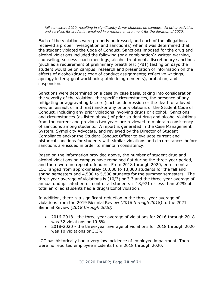*fall semesters 2020, resulting in significantly fewer students on campus. All other activities and services for students remained in a remote environment for the duration of 2020.*

Each of the violations were properly addressed, and each of the allegations received a proper investigation and sanction(s) when it was determined that the student violated the Code of Conduct. Sanctions imposed for the drug and alcohol violations included the following (or a combination): written warning, counseling, success coach meetings, alcohol treatment, discretionary sanctions (such as a requirement of preliminary breath test (PBT) testing on days the student would be on campus; research and presentation of information on the effects of alcohol/drugs; code of conduct assignments; reflective writings; apology letters; goal workbooks; athletic agreements), probation, and suspension.

Sanctions were determined on a case by case basis, taking into consideration the severity of the violation, the specific circumstances, the presence of any mitigating or aggravating factors (such as depression or the death of a loved one; an assault or a threat) and/or any prior violations of the Student Code of Conduct, including any prior violations involving drugs or alcohol. Sanctions and circumstances (as listed above) of prior student drug and alcohol violations from the current and previous two years are reviewed to maintain consistency of sanctions among students. A report is generated in the Case Management System, Symplicity Advocate, and reviewed by the Director of Student Compliance and/or the Student Conduct Officer to evaluate current and historical sanctions for students with similar violations and circumstances before sanctions are issued in order to maintain consistency.

Based on the information provided above, the number of student drug and alcohol violations on campus have remained flat during the three-year period, and there were no repeat offenders. From 2018 through 2020, enrollment at LCC ranged from approximately 10,000 to 13,000 students for the fall and spring semesters and 4,500 to 5,500 students for the summer semesters. The three-year average of violations is (10/3) or 3.3 and the three-year average of annual unduplicated enrollment of all students is 18,971 or less than .02% of total enrolled students had a drug/alcohol violation.

In addition, there is a significant reduction in the three-year average of violations from the 2019 Biennial Review *(2016 through 2018)* to the 2021 Biennial Review *(2018 through 2020)*.

- 2016-2018 the three-year average of violations for 2016 through 2018 was 32 violations or 10.6%
- 2018-2020 the three-year average of violations for 2018 through 2020 was 10 violations or 3.3%

LCC has historically had a very low incidence of employee impairment. There were no reported employee incidents from 2018 through 2020.